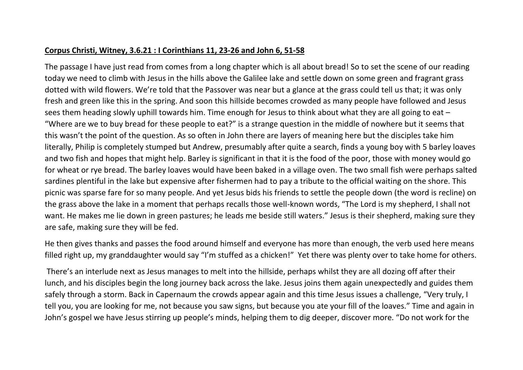## **Corpus Christi, Witney, 3.6.21 : I Corinthians 11, 23-26 and John 6, 51-58**

The passage I have just read from comes from a long chapter which is all about bread! So to set the scene of our reading today we need to climb with Jesus in the hills above the Galilee lake and settle down on some green and fragrant grass dotted with wild flowers. We're told that the Passover was near but a glance at the grass could tell us that; it was only fresh and green like this in the spring. And soon this hillside becomes crowded as many people have followed and Jesus sees them heading slowly uphill towards him. Time enough for Jesus to think about what they are all going to eat – "Where are we to buy bread for these people to eat?" is a strange question in the middle of nowhere but it seems that this wasn't the point of the question. As so often in John there are layers of meaning here but the disciples take him literally, Philip is completely stumped but Andrew, presumably after quite a search, finds a young boy with 5 barley loaves and two fish and hopes that might help. Barley is significant in that it is the food of the poor, those with money would go for wheat or rye bread. The barley loaves would have been baked in a village oven. The two small fish were perhaps salted sardines plentiful in the lake but expensive after fishermen had to pay a tribute to the official waiting on the shore. This picnic was sparse fare for so many people. And yet Jesus bids his friends to settle the people down (the word is recline) on the grass above the lake in a moment that perhaps recalls those well-known words, "The Lord is my shepherd, I shall not want. He makes me lie down in green pastures; he leads me beside still waters." Jesus is their shepherd, making sure they are safe, making sure they will be fed.

He then gives thanks and passes the food around himself and everyone has more than enough, the verb used here means filled right up, my granddaughter would say "I'm stuffed as a chicken!" Yet there was plenty over to take home for others.

There's an interlude next as Jesus manages to melt into the hillside, perhaps whilst they are all dozing off after their lunch, and his disciples begin the long journey back across the lake. Jesus joins them again unexpectedly and guides them safely through a storm. Back in Capernaum the crowds appear again and this time Jesus issues a challenge, "Very truly, I tell you, you are looking for me, not because you saw signs, but because you ate your fill of the loaves." Time and again in John's gospel we have Jesus stirring up people's minds, helping them to dig deeper, discover more. "Do not work for the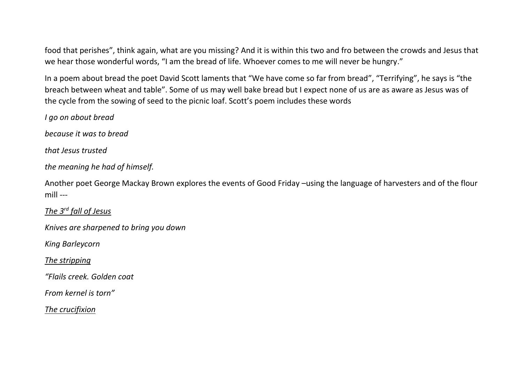food that perishes", think again, what are you missing? And it is within this two and fro between the crowds and Jesus that we hear those wonderful words, "I am the bread of life. Whoever comes to me will never be hungry."

In a poem about bread the poet David Scott laments that "We have come so far from bread", "Terrifying", he says is "the breach between wheat and table". Some of us may well bake bread but I expect none of us are as aware as Jesus was of the cycle from the sowing of seed to the picnic loaf. Scott's poem includes these words

*I go on about bread* 

*because it was to bread* 

*that Jesus trusted* 

*the meaning he had of himself.* 

Another poet George Mackay Brown explores the events of Good Friday –using the language of harvesters and of the flour mill ---

*The 3rd fall of Jesus*

*Knives are sharpened to bring you down*

*King Barleycorn*

*The stripping*

*"Flails creek. Golden coat*

*From kernel is torn"*

*The crucifixion*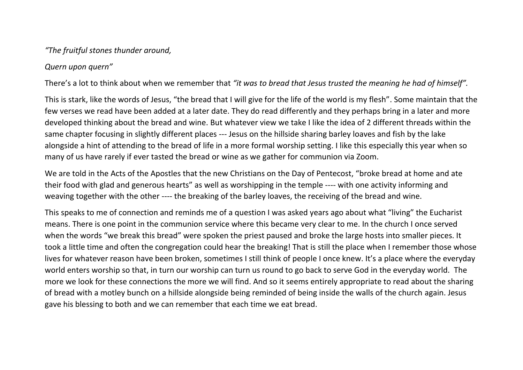## *"The fruitful stones thunder around,*

## *Quern upon quern"*

There's a lot to think about when we remember that *"it was to bread that Jesus trusted the meaning he had of himself".* 

This is stark, like the words of Jesus, "the bread that I will give for the life of the world is my flesh". Some maintain that the few verses we read have been added at a later date. They do read differently and they perhaps bring in a later and more developed thinking about the bread and wine. But whatever view we take I like the idea of 2 different threads within the same chapter focusing in slightly different places --- Jesus on the hillside sharing barley loaves and fish by the lake alongside a hint of attending to the bread of life in a more formal worship setting. I like this especially this year when so many of us have rarely if ever tasted the bread or wine as we gather for communion via Zoom.

We are told in the Acts of the Apostles that the new Christians on the Day of Pentecost, "broke bread at home and ate their food with glad and generous hearts" as well as worshipping in the temple ---- with one activity informing and weaving together with the other ---- the breaking of the barley loaves, the receiving of the bread and wine.

This speaks to me of connection and reminds me of a question I was asked years ago about what "living" the Eucharist means. There is one point in the communion service where this became very clear to me. In the church I once served when the words "we break this bread" were spoken the priest paused and broke the large hosts into smaller pieces. It took a little time and often the congregation could hear the breaking! That is still the place when I remember those whose lives for whatever reason have been broken, sometimes I still think of people I once knew. It's a place where the everyday world enters worship so that, in turn our worship can turn us round to go back to serve God in the everyday world. The more we look for these connections the more we will find. And so it seems entirely appropriate to read about the sharing of bread with a motley bunch on a hillside alongside being reminded of being inside the walls of the church again. Jesus gave his blessing to both and we can remember that each time we eat bread.